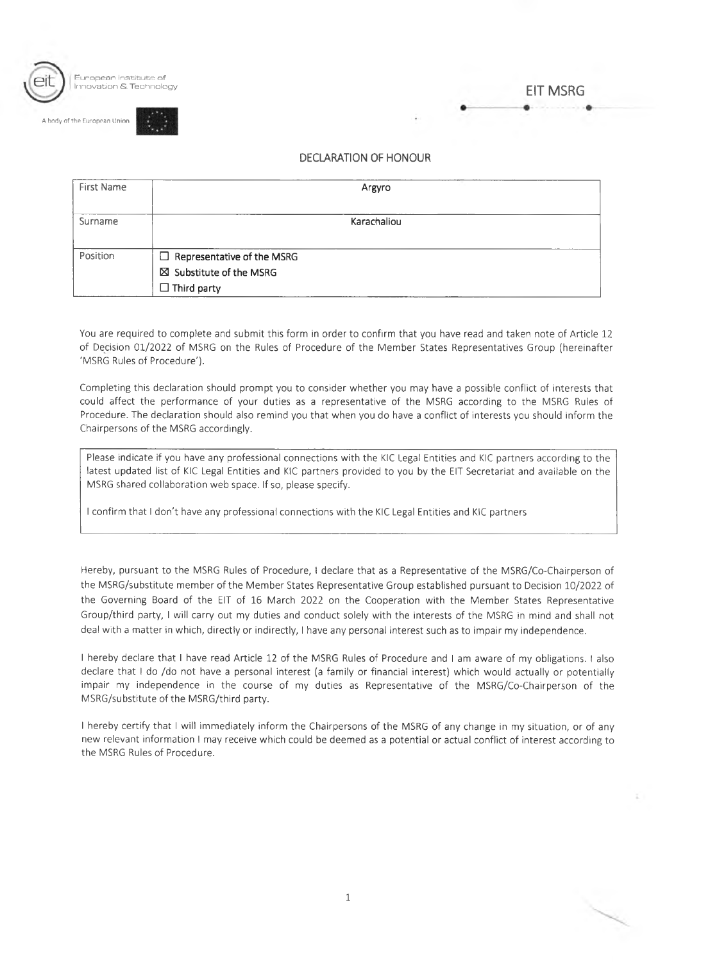

ody of the European Union



## DECLARATION OF HONOUR

| First Name | Argyro                                                                              |  |
|------------|-------------------------------------------------------------------------------------|--|
| Surname    | Karachaliou                                                                         |  |
| Position   | $\Box$ Representative of the MSRG<br>⊠ Substitute of the MSRG<br>$\Box$ Third party |  |

You are required to complete and submit this form in order to confirm that you have read and taken note of Article 12 of Decision 01/2022 of MSRG on the Rules of Procedure of the Member States Representatives Group (hereinafter 'MSRG Rules of Procedure').

Completing this declaration should prompt you to consider whether you may have a possible conflict of interests that could affect the performance of your duties as a representative of the MSRG according to the MSRG Rules of Procedure. The declaration should also remind you that when you do have a conflict of interests you should inform the Chairpersons of the MSRG accordingly.

Please indicate if you have any professional connections with the KIC Legal Entities and KIC partners according to the latest updated list of KIC Legal Entities and KIC partners provided to you by the EIT Secretariat and available on the MSRG shared collaboration web space. If so, please specify.

<sup>I</sup> confirm that <sup>I</sup> don't have any professional connections with the KIC Legal Entities and KIC partners

Hereby, pursuant to the MSRG Rules of Procedure, <sup>I</sup> declare that as a Representative of the MSRG/Co-Chairperson of the MSRG/substitute member of the Member States Representative Group established pursuant to Decision 10/2022 of the Governing Board of the EIT of 16 March 2022 on the Cooperation with the Member States Representative Group/third party, <sup>I</sup> will carry out my duties and conduct solely with the interests of the MSRG in mind and shall not deal with a matter in which, directly or indirectly, <sup>I</sup> have any personal interest such as to impair my independence.

<sup>I</sup> hereby declare that <sup>I</sup> have read Article 12 of the MSRG Rules of Procedure and <sup>I</sup> am aware of my obligations. <sup>I</sup> also declare that <sup>I</sup> do /do not have a personal interest (a family or financial interest) which would actually or potentially impair my independence in the course of my duties as Representative of the MSRG/Co-Chairperson of the MSRG/substitute of the MSRG/third party.

<sup>I</sup> hereby certify that <sup>I</sup> will immediately inform the Chairpersons of the MSRG of any change in my situation, or of any new relevant information <sup>I</sup> may receive which could be deemed as a potential or actual conflict of interest according to the MSRG Rules of Procedure.